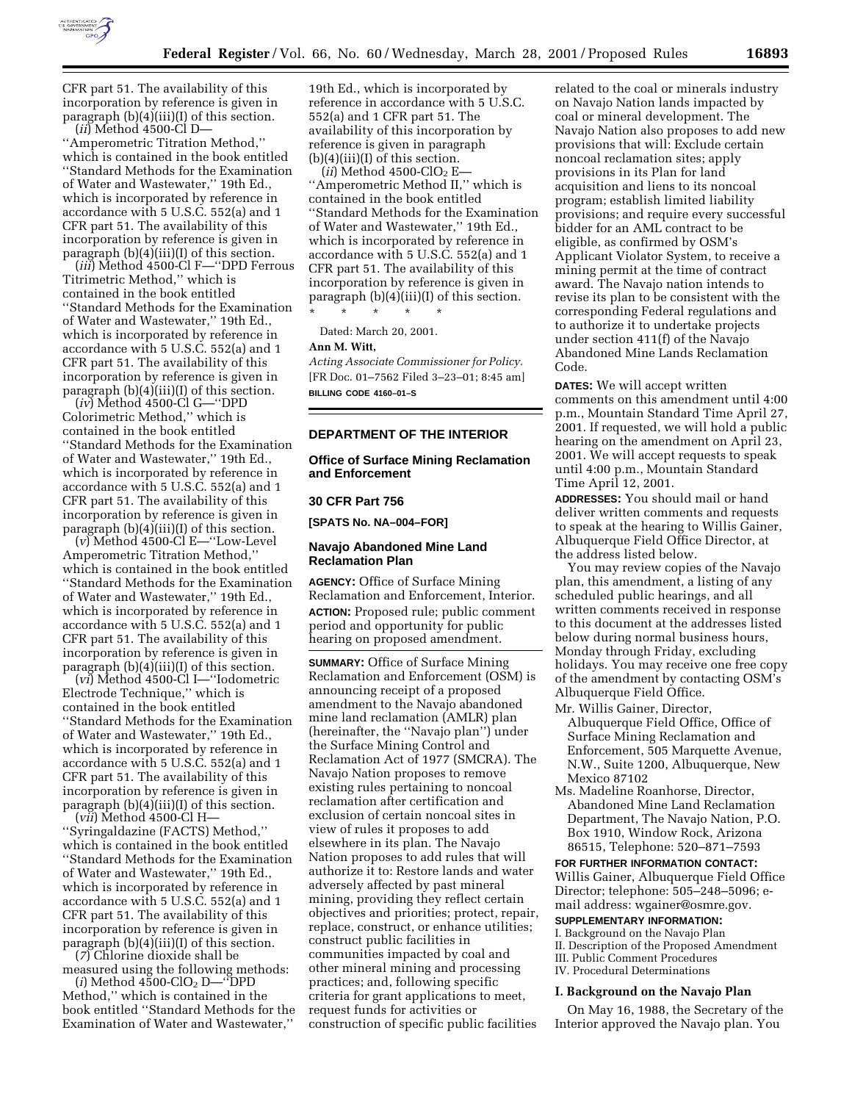

CFR part 51. The availability of this incorporation by reference is given in paragraph (b)(4)(iii)(I) of this section. (*ii*) Method 4500-Cl D—

''Amperometric Titration Method,'' which is contained in the book entitled ''Standard Methods for the Examination of Water and Wastewater,'' 19th Ed., which is incorporated by reference in accordance with 5 U.S.C. 552(a) and 1 CFR part 51. The availability of this incorporation by reference is given in paragraph  $(b)(4)(iii)(I)$  of this section.

(*iii*) Method 4500-Cl F—''DPD Ferrous Titrimetric Method,'' which is contained in the book entitled ''Standard Methods for the Examination of Water and Wastewater,'' 19th Ed., which is incorporated by reference in accordance with 5 U.S.C. 552(a) and 1 CFR part 51. The availability of this incorporation by reference is given in paragraph (b)(4)(iii)(I) of this section.

(*iv*) Method 4500-Cl G—''DPD Colorimetric Method,'' which is contained in the book entitled ''Standard Methods for the Examination of Water and Wastewater,'' 19th Ed., which is incorporated by reference in accordance with 5 U.S.C. 552(a) and 1 CFR part 51. The availability of this incorporation by reference is given in paragraph  $(b)(4)(iii)(I)$  of this section.

(*v*) Method 4500-Cl E—''Low-Level Amperometric Titration Method,'' which is contained in the book entitled ''Standard Methods for the Examination of Water and Wastewater,'' 19th Ed., which is incorporated by reference in accordance with 5 U.S.C. 552(a) and 1 CFR part 51. The availability of this incorporation by reference is given in paragraph (b)(4)(iii)(I) of this section.

(*vi*) Method 4500-Cl I—''Iodometric Electrode Technique,'' which is contained in the book entitled ''Standard Methods for the Examination of Water and Wastewater,'' 19th Ed., which is incorporated by reference in accordance with 5 U.S.C. 552(a) and 1 CFR part 51. The availability of this incorporation by reference is given in paragraph  $(b)(4)(iii)(I)$  of this section.

(*vii*) Method 4500-Cl H— ''Syringaldazine (FACTS) Method,'' which is contained in the book entitled ''Standard Methods for the Examination of Water and Wastewater,'' 19th Ed., which is incorporated by reference in accordance with 5 U.S.C. 552(a) and 1 CFR part 51. The availability of this incorporation by reference is given in paragraph (b)(4)(iii)(I) of this section.

(*7*) Chlorine dioxide shall be measured using the following methods:

(*i*) Method 4500-ClO2 D—''DPD Method,'' which is contained in the book entitled ''Standard Methods for the Examination of Water and Wastewater,''

19th Ed., which is incorporated by reference in accordance with 5 U.S.C. 552(a) and 1 CFR part 51. The availability of this incorporation by reference is given in paragraph  $(b)(4)(iii)(I)$  of this section.

 $(iii)$  Method 4500-ClO<sub>2</sub> E-''Amperometric Method II,'' which is contained in the book entitled ''Standard Methods for the Examination of Water and Wastewater,'' 19th Ed., which is incorporated by reference in accordance with 5 U.S.C. 552(a) and 1 CFR part 51. The availability of this incorporation by reference is given in paragraph  $(b)(4)(iii)(I)$  of this section. \* \* \* \* \*

Dated: March 20, 2001.

#### **Ann M. Witt,**

*Acting Associate Commissioner for Policy.* [FR Doc. 01–7562 Filed 3–23–01; 8:45 am] **BILLING CODE 4160–01–S**

### **DEPARTMENT OF THE INTERIOR**

## **Office of Surface Mining Reclamation and Enforcement**

### **30 CFR Part 756**

**[SPATS No. NA–004–FOR]**

### **Navajo Abandoned Mine Land Reclamation Plan**

**AGENCY:** Office of Surface Mining Reclamation and Enforcement, Interior. **ACTION:** Proposed rule; public comment period and opportunity for public hearing on proposed amendment.

**SUMMARY:** Office of Surface Mining Reclamation and Enforcement (OSM) is announcing receipt of a proposed amendment to the Navajo abandoned mine land reclamation (AMLR) plan (hereinafter, the ''Navajo plan'') under the Surface Mining Control and Reclamation Act of 1977 (SMCRA). The Navajo Nation proposes to remove existing rules pertaining to noncoal reclamation after certification and exclusion of certain noncoal sites in view of rules it proposes to add elsewhere in its plan. The Navajo Nation proposes to add rules that will authorize it to: Restore lands and water adversely affected by past mineral mining, providing they reflect certain objectives and priorities; protect, repair, replace, construct, or enhance utilities; construct public facilities in communities impacted by coal and other mineral mining and processing practices; and, following specific criteria for grant applications to meet, request funds for activities or construction of specific public facilities

related to the coal or minerals industry on Navajo Nation lands impacted by coal or mineral development. The Navajo Nation also proposes to add new provisions that will: Exclude certain noncoal reclamation sites; apply provisions in its Plan for land acquisition and liens to its noncoal program; establish limited liability provisions; and require every successful bidder for an AML contract to be eligible, as confirmed by OSM's Applicant Violator System, to receive a mining permit at the time of contract award. The Navajo nation intends to revise its plan to be consistent with the corresponding Federal regulations and to authorize it to undertake projects under section 411(f) of the Navajo Abandoned Mine Lands Reclamation Code.

**DATES:** We will accept written comments on this amendment until 4:00 p.m., Mountain Standard Time April 27, 2001. If requested, we will hold a public hearing on the amendment on April 23, 2001. We will accept requests to speak until 4:00 p.m., Mountain Standard Time April 12, 2001.

**ADDRESSES:** You should mail or hand deliver written comments and requests to speak at the hearing to Willis Gainer, Albuquerque Field Office Director, at the address listed below.

You may review copies of the Navajo plan, this amendment, a listing of any scheduled public hearings, and all written comments received in response to this document at the addresses listed below during normal business hours, Monday through Friday, excluding holidays. You may receive one free copy of the amendment by contacting OSM's Albuquerque Field Office.

- Mr. Willis Gainer, Director, Albuquerque Field Office, Office of Surface Mining Reclamation and Enforcement, 505 Marquette Avenue, N.W., Suite 1200, Albuquerque, New Mexico 87102
- Ms. Madeline Roanhorse, Director, Abandoned Mine Land Reclamation Department, The Navajo Nation, P.O. Box 1910, Window Rock, Arizona 86515, Telephone: 520–871–7593

**FOR FURTHER INFORMATION CONTACT:** Willis Gainer, Albuquerque Field Office Director; telephone: 505–248–5096; email address: wgainer@osmre.gov.

# **SUPPLEMENTARY INFORMATION:**

I. Background on the Navajo Plan II. Description of the Proposed Amendment III. Public Comment Procedures IV. Procedural Determinations

#### **I. Background on the Navajo Plan**

On May 16, 1988, the Secretary of the Interior approved the Navajo plan. You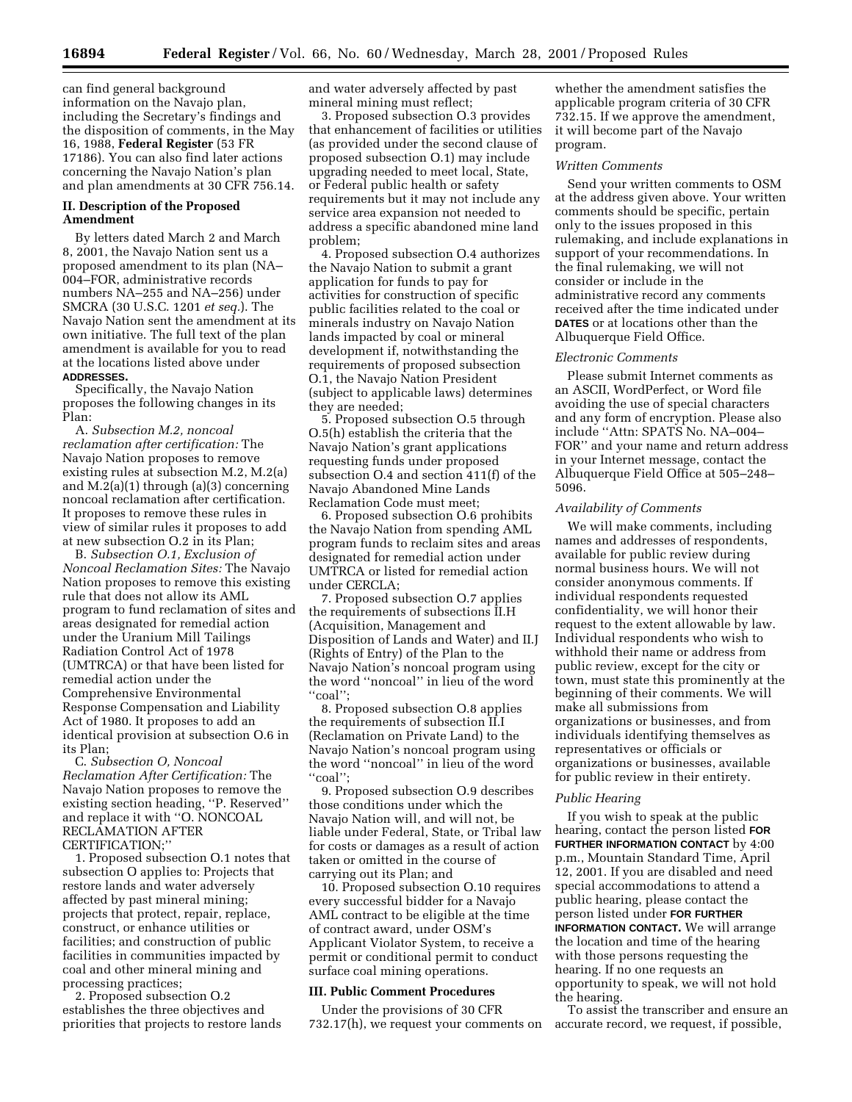can find general background information on the Navajo plan, including the Secretary's findings and the disposition of comments, in the May 16, 1988, **Federal Register** (53 FR 17186). You can also find later actions concerning the Navajo Nation's plan and plan amendments at 30 CFR 756.14.

# **II. Description of the Proposed Amendment**

By letters dated March 2 and March 8, 2001, the Navajo Nation sent us a proposed amendment to its plan (NA– 004–FOR, administrative records numbers NA–255 and NA–256) under SMCRA (30 U.S.C. 1201 *et seq.*). The Navajo Nation sent the amendment at its own initiative. The full text of the plan amendment is available for you to read at the locations listed above under **ADDRESSES.**

Specifically, the Navajo Nation proposes the following changes in its Plan:

A. *Subsection M.2, noncoal reclamation after certification:* The Navajo Nation proposes to remove existing rules at subsection M.2, M.2(a) and M.2(a)(1) through (a)(3) concerning noncoal reclamation after certification. It proposes to remove these rules in view of similar rules it proposes to add at new subsection O.2 in its Plan;

B. *Subsection O.1, Exclusion of Noncoal Reclamation Sites:* The Navajo Nation proposes to remove this existing rule that does not allow its AML program to fund reclamation of sites and areas designated for remedial action under the Uranium Mill Tailings Radiation Control Act of 1978 (UMTRCA) or that have been listed for remedial action under the Comprehensive Environmental Response Compensation and Liability Act of 1980. It proposes to add an identical provision at subsection O.6 in its Plan;

C. *Subsection O, Noncoal Reclamation After Certification:* The Navajo Nation proposes to remove the existing section heading, ''P. Reserved'' and replace it with ''O. NONCOAL RECLAMATION AFTER CERTIFICATION;''

1. Proposed subsection O.1 notes that subsection O applies to: Projects that restore lands and water adversely affected by past mineral mining; projects that protect, repair, replace, construct, or enhance utilities or facilities; and construction of public facilities in communities impacted by coal and other mineral mining and processing practices;

2. Proposed subsection O.2 establishes the three objectives and priorities that projects to restore lands and water adversely affected by past mineral mining must reflect;

3. Proposed subsection O.3 provides that enhancement of facilities or utilities (as provided under the second clause of proposed subsection O.1) may include upgrading needed to meet local, State, or Federal public health or safety requirements but it may not include any service area expansion not needed to address a specific abandoned mine land problem;

4. Proposed subsection O.4 authorizes the Navajo Nation to submit a grant application for funds to pay for activities for construction of specific public facilities related to the coal or minerals industry on Navajo Nation lands impacted by coal or mineral development if, notwithstanding the requirements of proposed subsection O.1, the Navajo Nation President (subject to applicable laws) determines they are needed;

5. Proposed subsection O.5 through O.5(h) establish the criteria that the Navajo Nation's grant applications requesting funds under proposed subsection O.4 and section 411(f) of the Navajo Abandoned Mine Lands Reclamation Code must meet;

6. Proposed subsection O.6 prohibits the Navajo Nation from spending AML program funds to reclaim sites and areas designated for remedial action under UMTRCA or listed for remedial action under CERCLA;

7. Proposed subsection O.7 applies the requirements of subsections II.H (Acquisition, Management and Disposition of Lands and Water) and II.J (Rights of Entry) of the Plan to the Navajo Nation's noncoal program using the word ''noncoal'' in lieu of the word ''coal'';

8. Proposed subsection O.8 applies the requirements of subsection II.I (Reclamation on Private Land) to the Navajo Nation's noncoal program using the word ''noncoal'' in lieu of the word ''coal'';

9. Proposed subsection O.9 describes those conditions under which the Navajo Nation will, and will not, be liable under Federal, State, or Tribal law for costs or damages as a result of action taken or omitted in the course of carrying out its Plan; and

10. Proposed subsection O.10 requires every successful bidder for a Navajo AML contract to be eligible at the time of contract award, under OSM's Applicant Violator System, to receive a permit or conditional permit to conduct surface coal mining operations.

#### **III. Public Comment Procedures**

Under the provisions of 30 CFR 732.17(h), we request your comments on

whether the amendment satisfies the applicable program criteria of 30 CFR 732.15. If we approve the amendment, it will become part of the Navajo program.

#### *Written Comments*

Send your written comments to OSM at the address given above. Your written comments should be specific, pertain only to the issues proposed in this rulemaking, and include explanations in support of your recommendations. In the final rulemaking, we will not consider or include in the administrative record any comments received after the time indicated under **DATES** or at locations other than the Albuquerque Field Office.

#### *Electronic Comments*

Please submit Internet comments as an ASCII, WordPerfect, or Word file avoiding the use of special characters and any form of encryption. Please also include ''Attn: SPATS No. NA–004– FOR'' and your name and return address in your Internet message, contact the Albuquerque Field Office at 505–248– 5096.

#### *Availability of Comments*

We will make comments, including names and addresses of respondents, available for public review during normal business hours. We will not consider anonymous comments. If individual respondents requested confidentiality, we will honor their request to the extent allowable by law. Individual respondents who wish to withhold their name or address from public review, except for the city or town, must state this prominently at the beginning of their comments. We will make all submissions from organizations or businesses, and from individuals identifying themselves as representatives or officials or organizations or businesses, available for public review in their entirety.

#### *Public Hearing*

If you wish to speak at the public hearing, contact the person listed **FOR FURTHER INFORMATION CONTACT** by 4:00 p.m., Mountain Standard Time, April 12, 2001. If you are disabled and need special accommodations to attend a public hearing, please contact the person listed under **FOR FURTHER INFORMATION CONTACT.** We will arrange the location and time of the hearing with those persons requesting the hearing. If no one requests an opportunity to speak, we will not hold the hearing.

To assist the transcriber and ensure an accurate record, we request, if possible,